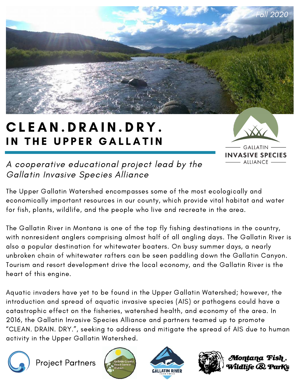

## CLEAN.DRAIN.DRY. IN THE UPPER GALLATIN



A cooperative educational project lead by the Gallatin Invasive Species Alliance

The Upper Gallatin Watershed encompasses some of the most ecologically and economically important resources in our county, which provide vital habitat and water for fish, plants, wildlife, and the people who live and recreate in the area.

The Gallatin River in Montana is one of the top fly fishing destinations in the country, with nonresident anglers comprising almost half of all angling days. The Gallatin River is also a popular destination for whitewater boaters. On busy summer days, a nearly unbroken chain of whitewater rafters can be seen paddling down the Gallatin Canyon. Tourism and resort development drive the local economy, and the Gallatin River is the heart of this engine.

Aquatic invaders have yet to be found in the Upper Gallatin Watershed; however, the introduction and spread of aquatic invasive species (AIS) or pathogens could have a catastrophic effect on the fisheries, watershed health, and economy of the area. In 2016, the Gallatin Invasive Species Alliance and partners teamed up to promote "CLEAN. DRAIN. DRY.", seeking to address and mitigate the spread of AIS due to human activity in the Upper Gallatin Watershed.



Project Partners







Montana Fish . Idlife & ParKs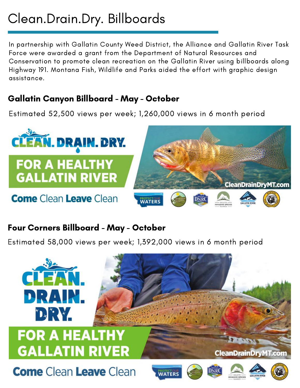## Clean.Drain.Dry. Billboards

In partnership with Gallatin County Weed District, the Alliance and Gallatin River Task Force were awarded a grant from the Department of Natural Resources and Conservation to promote clean recreation on the Gallatin River using billboards along Highway 191. Montana Fish, Wildlife and Parks aided the effort with graphic design assistance.

#### Gallatin Canyon Billboard - May - October

Estimated 52,500 views per week; 1,260,000 views in 6 month period



#### Four Corners Billboard - May - October

Estimated 58,000 views per week; 1,392,000 views in 6 month period

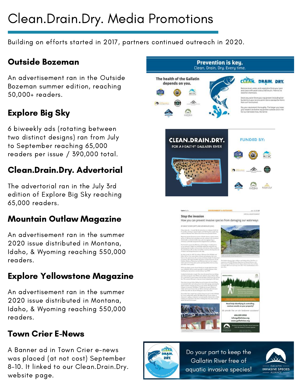# Clean.Drain.Dry. Media Promotions

Building on efforts started in 2017, partners continued outreach in 2020.

#### Outside Bozeman

An advertisement ran in the Outside Bozeman summer edition, reaching 50,000+ readers.

### Explore Big Sky

6 biweekly ads (rotating between two distinct designs) ran from July to September reaching 65,000 readers per issue / 390,000 total.

### Clean.Drain.Dry. Advertorial

The advertorial ran in the July 3rd edition of Explore Big Sky reaching 65,000 readers.

#### Mountain Outlaw Magazine

An advertisement ran in the summer 2020 issue distributed in Montana, Idaho, & Wyoming reaching 550,000 readers.

#### Explore Yellowstone Magazine

An advertisement ran in the summer 2020 issue distributed in Montana, Idaho, & Wyoming reaching 550,000 readers.

#### Town Crier E-News

A Banner ad in Town Crier e-news was placed (at not cost) September 8-10. It linked to our Clean.Drain.Dry. website page.





Gallatin River free of aquatic invasive species!

**INVASIVE SPECIES**